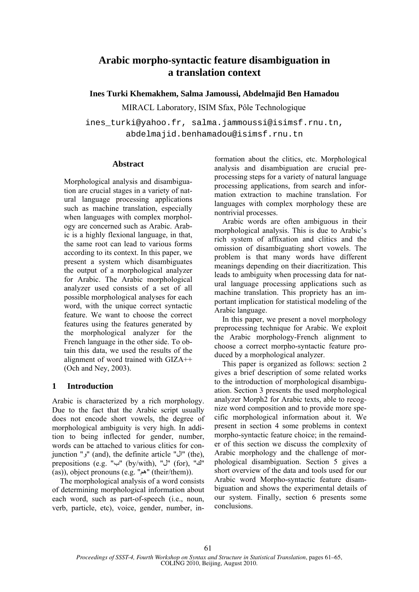# **Arabic morpho-syntactic feature disambiguation in a translation context**

**Ines Turki Khemakhem, Salma Jamoussi, Abdelmajid Ben Hamadou** 

MIRACL Laboratory, ISIM Sfax, Pôle Technologique

ines\_turki@yahoo.fr, salma.jammoussi@isimsf.rnu.tn, abdelmajid.benhamadou@isimsf.rnu.tn

#### **Abstract**

Morphological analysis and disambiguation are crucial stages in a variety of natural language processing applications such as machine translation, especially when languages with complex morphology are concerned such as Arabic. Arabic is a highly flexional language, in that, the same root can lead to various forms according to its context. In this paper, we present a system which disambiguates the output of a morphological analyzer for Arabic. The Arabic morphological analyzer used consists of a set of all possible morphological analyses for each word, with the unique correct syntactic feature. We want to choose the correct features using the features generated by the morphological analyzer for the French language in the other side. To obtain this data, we used the results of the alignment of word trained with GIZA++ (Och and Ney, 2003).

### **1 Introduction**

Arabic is characterized by a rich morphology. Due to the fact that the Arabic script usually does not encode short vowels, the degree of morphological ambiguity is very high. In addition to being inflected for gender, number, words can be attached to various clitics for conjunction "ال $'$ " (and), the definite article "ال $'$ " (the), prepositions (e.g. "ب" (by/with), "ل" (for), "ف" (as)), object pronouns (e.g. "هم" (their/them)).

The morphological analysis of a word consists of determining morphological information about each word, such as part-of-speech (i.e., noun, verb, particle, etc), voice, gender, number, information about the clitics, etc. Morphological analysis and disambiguation are crucial preprocessing steps for a variety of natural language processing applications, from search and information extraction to machine translation. For languages with complex morphology these are nontrivial processes.

Arabic words are often ambiguous in their morphological analysis. This is due to Arabic's rich system of affixation and clitics and the omission of disambiguating short vowels. The problem is that many words have different meanings depending on their diacritization. This leads to ambiguity when processing data for natural language processing applications such as machine translation. This propriety has an important implication for statistical modeling of the Arabic language.

In this paper, we present a novel morphology preprocessing technique for Arabic. We exploit the Arabic morphology-French alignment to choose a correct morpho-syntactic feature produced by a morphological analyzer.

This paper is organized as follows: section 2 gives a brief description of some related works to the introduction of morphological disambiguation. Section 3 presents the used morphological analyzer Morph2 for Arabic texts, able to recognize word composition and to provide more specific morphological information about it. We present in section 4 some problems in context morpho-syntactic feature choice; in the remainder of this section we discuss the complexity of Arabic morphology and the challenge of morphological disambiguation. Section 5 gives a short overview of the data and tools used for our Arabic word Morpho-syntactic feature disambiguation and shows the experimental details of our system. Finally, section 6 presents some conclusions.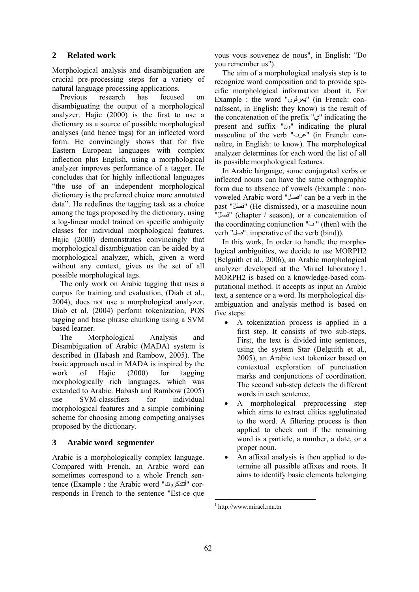# **2 Related work**

Morphological analysis and disambiguation are crucial pre-processing steps for a variety of natural language processing applications.

Previous research has focused on disambiguating the output of a morphological analyzer. Hajic (2000) is the first to use a dictionary as a source of possible morphological analyses (and hence tags) for an inflected word form. He convincingly shows that for five Eastern European languages with complex inflection plus English, using a morphological analyzer improves performance of a tagger. He concludes that for highly inflectional languages "the use of an independent morphological dictionary is the preferred choice more annotated data". He redefines the tagging task as a choice among the tags proposed by the dictionary, using a log-linear model trained on specific ambiguity classes for individual morphological features. Hajic (2000) demonstrates convincingly that morphological disambiguation can be aided by a morphological analyzer, which, given a word without any context, gives us the set of all possible morphological tags.

The only work on Arabic tagging that uses a corpus for training and evaluation, (Diab et al., 2004), does not use a morphological analyzer. Diab et al. (2004) perform tokenization, POS tagging and base phrase chunking using a SVM based learner.

The Morphological Analysis and Disambiguation of Arabic (MADA) system is described in (Habash and Rambow, 2005). The basic approach used in MADA is inspired by the work of Hajic (2000) for tagging morphologically rich languages, which was extended to Arabic. Habash and Rambow (2005) use SVM-classifiers for individual morphological features and a simple combining scheme for choosing among competing analyses proposed by the dictionary.

# **3 Arabic word segmenter**

Arabic is a morphologically complex language. Compared with French, an Arabic word can sometimes correspond to a whole French sentence (Example : the Arabic word "رونناّأتتذآ "corresponds in French to the sentence "Est-ce que vous vous souvenez de nous", in English: "Do you remember us").

The aim of a morphological analysis step is to recognize word composition and to provide specific morphological information about it. For Example : the word "يعرفون) "in French: connaîssent, in English: they know) is the result of the concatenation of the prefix "ي "indicating the present and suffix "ون" indicating the plural masculine of the verb "عرف) "in French: connaître, in English: to know). The morphological analyzer determines for each word the list of all its possible morphological features.

In Arabic language, some conjugated verbs or inflected nouns can have the same orthographic form due to absence of vowels (Example : nonvoweled Arabic word "فصل "can be a verb in the past "َلَصَف) "He dismissed), or a masculine noun "ٌلْصَف) "chapter / season), or a concatenation of the coordinating conjunction "َف) " then) with the verb "صل": imperative of the verb (bind)).

In this work, In order to handle the morphological ambiguities, we decide to use MORPH2 (Belguith et al., 2006), an Arabic morphological analyzer developed at the Miracl laboratory1. MORPH2 is based on a knowledge-based computational method. It accepts as input an Arabic text, a sentence or a word. Its morphological disambiguation and analysis method is based on five steps:

- A tokenization process is applied in a first step. It consists of two sub-steps. First, the text is divided into sentences, using the system Star (Belguith et al., 2005), an Arabic text tokenizer based on contextual exploration of punctuation marks and conjunctions of coordination. The second sub-step detects the different words in each sentence.
- A morphological preprocessing step which aims to extract clitics agglutinated to the word. A filtering process is then applied to check out if the remaining word is a particle, a number, a date, or a proper noun.
- An affixal analysis is then applied to determine all possible affixes and roots. It aims to identify basic elements belonging

<sup>1</sup> http://www.miracl.rnu.tn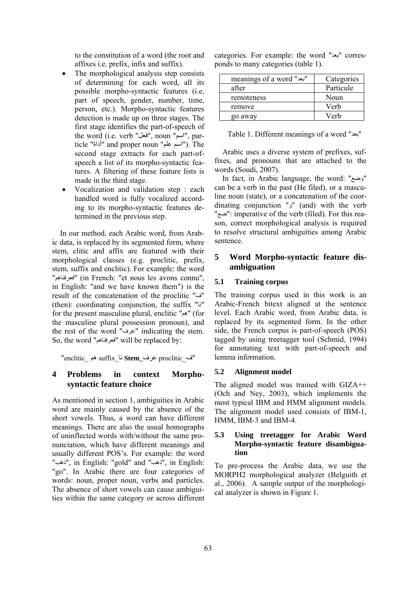to the constitution of a word (the root and affixes i.e. prefix, infix and suffix).

- The morphological analysis step consists of determining for each word, all its possible morpho-syntactic features (i.e, part of speech, gender, number, time, person, etc.). Morpho-syntactic features detection is made up on three stages. The first stage identifies the part-of-speech of the word (i.e. verb "فعل", noun "اسم", particle "أداة" and proper noun "). The second stage extracts for each part-ofspeech a list of its morpho-syntactic features. A filtering of these feature lists is made in the third stage.
- Vocalization and validation step : each handled word is fully vocalized according to its morpho-syntactic features determined in the previous step.

In our method, each Arabic word, from Arabic data, is replaced by its segmented form, where stem, clitic and affix are featured with their morphological classes (e.g. proclitic, prefix, stem, suffix and enclitic). For example: the word "فعرفناهم) "in French: "et nous les avons connu", in English: "and we have known them") is the result of the concatenation of the proclitic "َف " (then): coordinating conjunction, the suffix "نا " for the present masculine plural, enclitic "هم) "for the masculine plural possession pronoun), and the rest of the word "عرف "indicating the stem. So, the word "فعرفناهم "will be replaced by:

ف " \_proclitic عرف**\_Stem** نا\_suffix هم \_enclitic"

### **4 Problems in context Morphosyntactic feature choice**

As mentioned in section 1, ambiguities in Arabic word are mainly caused by the absence of the short vowels. Thus, a word can have different meanings. There are also the usual homographs of uninflected words with/without the same pronunciation, which have different meanings and usually different POS's. For example: the word "ذهب", in English: "gold" and "ذهب", in English: "go". In Arabic there are four categories of words: noun, proper noun, verbs and particles. The absence of short vowels can cause ambiguities within the same category or across different

categories. For example: the word "بعد "corresponds to many categories (table 1).

| meanings of a word "بعد" | Categories |
|--------------------------|------------|
| after                    | Particule  |
| remoteness               | Noun       |
| remove                   | Verb       |
| go away                  | Verh       |

Table 1. Different meanings of a word "بعد "

Arabic uses a diverse system of prefixes, suffixes, and pronouns that are attached to the words (Soudi, 2007).

In fact, in Arabic language, the word: "وضع " can be a verb in the past (He filed), or a masculine noun (state), or a concatenation of the coordinating conjunction "و" (and) with the verb "ضع": imperative of the verb (filed). For this reason, correct morphological analysis is required to resolve structural ambiguities among Arabic sentence.

## **5 Word Morpho-syntactic feature disambiguation**

#### **5.1 Training corpus**

The training corpus used in this work is an Arabic-French bitext aligned at the sentence level. Each Arabic word, from Arabic data, is replaced by its segmented form. In the other side, the French corpus is part-of-speech (POS) tagged by using treetagger tool (Schmid, 1994) for annotating text with part-of-speech and lemma information.

#### **5.2 Alignment model**

The aligned model was trained with GIZA++ (Och and Ney, 2003), which implements the most typical IBM and HMM alignment models. The alignment model used consists of IBM-1, HMM, IBM-3 and IBM-4.

### **5.3 Using treetagger for Arabic Word Morpho-syntactic feature disambiguation**

To pre-process the Arabic data, we use the MORPH2 morphological analyzer (Belguith et al., 2006). A sample output of the morphological analyzer is shown in Figure 1.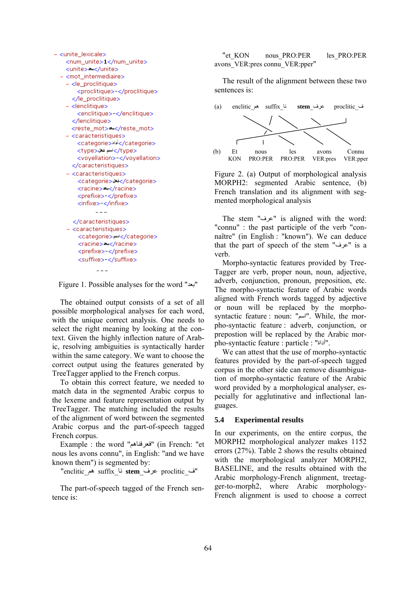

Figure 1. Possible analyses for the word "بعد "

The obtained output consists of a set of all possible morphological analyses for each word, with the unique correct analysis. One needs to select the right meaning by looking at the context. Given the highly inflection nature of Arabic, resolving ambiguities is syntactically harder within the same category. We want to choose the correct output using the features generated by TreeTagger applied to the French corpus.

To obtain this correct feature, we needed to match data in the segmented Arabic corpus to the lexeme and feature representation output by TreeTagger. The matching included the results of the alignment of word between the segmented Arabic corpus and the part-of-speech tagged French corpus.

Example : the word "فعرفناهم) "in French: "et nous les avons connu", in English: "and we have known them") is segmented by:

"ف\_proclitic عرف\_**stem** نا\_suffix هم\_enclitic"

The part-of-speech tagged of the French sentence is:

"et\_KON nous\_PRO:PER les\_PRO:PER avons\_VER:pres connu\_VER:pper"

The result of the alignment between these two sentences is:



Figure 2. (a) Output of morphological analysis MORPH2: segmented Arabic sentence, (b) French translation and its alignment with segmented morphological analysis

The stem "عرف "is aligned with the word: "connu" : the past participle of the verb "connaître" (in English : "known"). We can deduce that the part of speech of the stem "عرف "is a verb.

Morpho-syntactic features provided by Tree-Tagger are verb, proper noun, noun, adjective, adverb, conjunction, pronoun, preposition, etc. The morpho-syntactic feature of Arabic words aligned with French words tagged by adjective or noun will be replaced by the morphosyntactic feature : noun: "اسم". While, the morpho-syntactic feature : adverb, conjunction, or prepostion will be replaced by the Arabic morpho-syntactic feature : particle : "أداة".

We can attest that the use of morpho-syntactic features provided by the part-of-speech tagged corpus in the other side can remove disambiguation of morpho-syntactic feature of the Arabic word provided by a morphological analyser, especially for agglutinative and inflectional languages.

#### **5.4 Experimental results**

In our experiments, on the entire corpus, the MORPH2 morphological analyzer makes 1152 errors (27%). Table 2 shows the results obtained with the morphological analyzer MORPH2, BASELINE, and the results obtained with the Arabic morphology-French alignment, treetagger-to-morph2, where Arabic morphology-French alignment is used to choose a correct